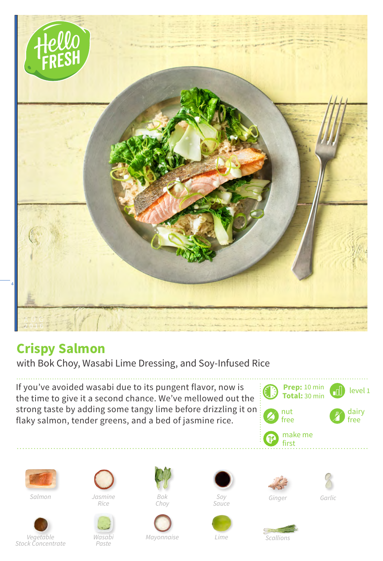

## **Crispy Salmon**

with Bok Choy, Wasabi Lime Dressing, and Soy-Infused Rice

If you've avoided wasabi due to its pungent flavor, now is the time to give it a second chance. We've mellowed out the strong taste by adding some tangy lime before drizzling it on flaky salmon, tender greens, and a bed of jasmine rice.





*Salmon*



*Jasmine Rice*



*Bok Choy*







*Garlic*

*Lime*

*Scallions*

*Paste*

*Mayonnaise*